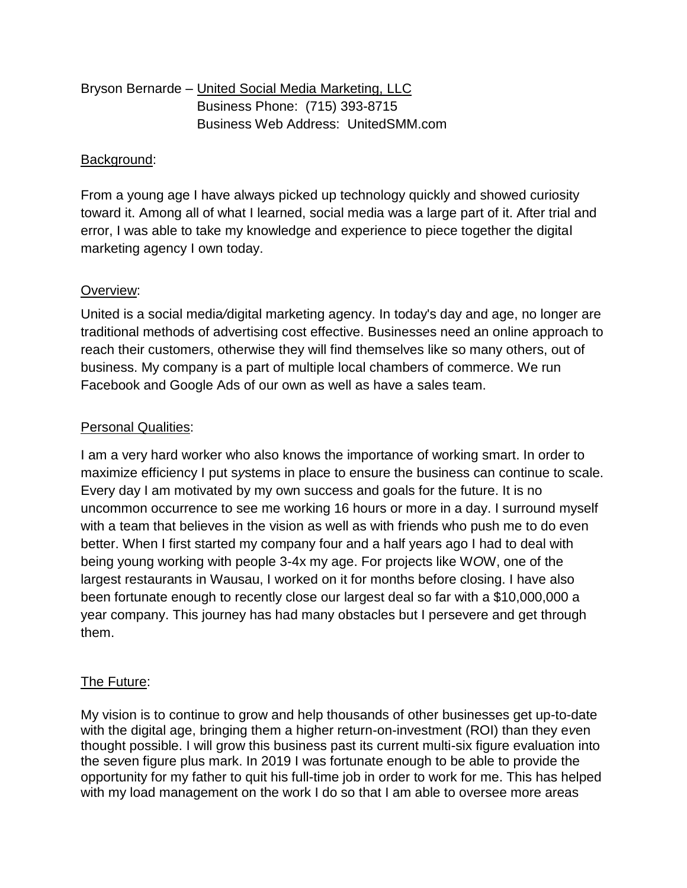| Bryson Bernarde – United Social Media Marketing, LLC |
|------------------------------------------------------|
| Business Phone: (715) 393-8715                       |
| <b>Business Web Address: UnitedSMM.com</b>           |

## Background:

From a young age I have always picked up technology quickly and showed curiosity toward it. Among all of what I learned, social media was a large part of it. After trial and error, I was able to take my knowledge and experience to piece together the digital marketing agency I own today.

## Overview:

United is a social media*/*digital marketing agency. In today's day and age, no longer are traditional methods of advertising cost effective. Businesses need an online approach to reach their customers, otherwise they will find themselves like so many others, out of business. My company is a part of multiple local chambers of commerce. We run Facebook and Google Ads of our own as well as have a sales team.

## Personal Qualities:

I am a very hard worker who also knows the importance of working smart. In order to maximize efficiency I put s*y*stems in place to ensure the business can continue to scale. Every day I am motivated by my own success and goals for the future. It is no uncommon occurrence to see me working 16 hours or more in a day. I surround myself with a team that believes in the vision as well as with friends who push me to do even better. When I first started my company four and a half years ago I had to deal with being young working with people 3-4x my age. For projects like W*O*W, one of the largest restaurants in Wausau, I worked on it for months before closing. I have also been fortunate enough to recently close our largest deal so far with a \$10,000,000 a year company. This journey has had many obstacles but I persevere and get through them.

## The Future:

My vision is to continue to grow and help thousands of other businesses get up-to-date with the digital age, bringing them a higher return-on-investment (ROI) than they e*v*en thought possible. I will grow this business past its current multi-six figure evaluation into the se*v*en figure plus mark. In 2019 I was fortunate enough to be able to provide the opportunity for my father to quit his full-time job in order to work for me. This has helped with my load management on the work I do so that I am able to oversee more areas